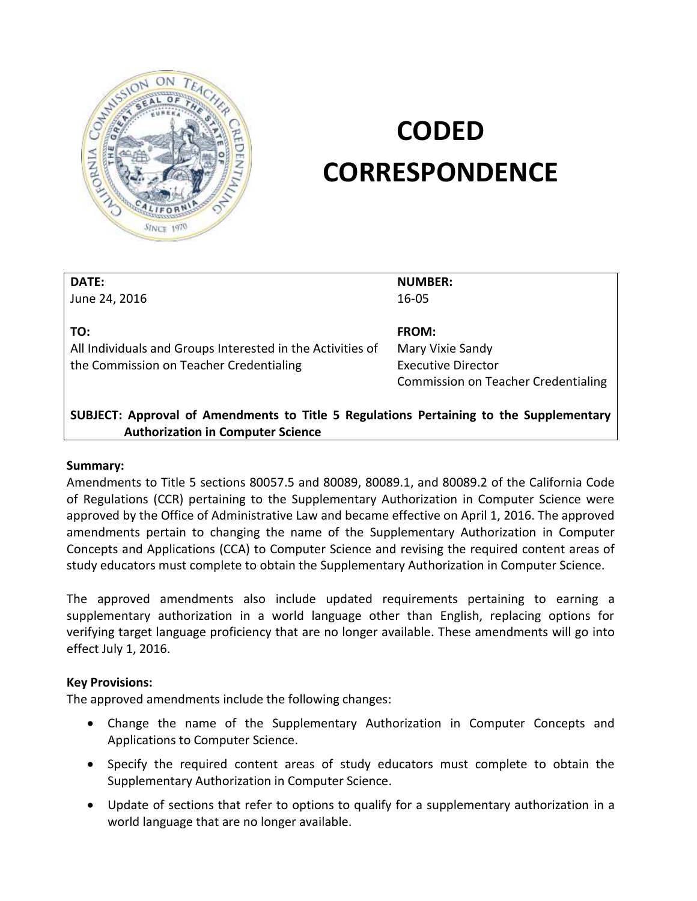

# **CODED CORRESPONDENCE**

| DATE:                                                                               | <b>NUMBER:</b>                             |  |
|-------------------------------------------------------------------------------------|--------------------------------------------|--|
| June 24, 2016                                                                       | $16 - 05$                                  |  |
|                                                                                     |                                            |  |
| TO:                                                                                 | <b>FROM:</b>                               |  |
| All Individuals and Groups Interested in the Activities of                          | Mary Vixie Sandy                           |  |
| the Commission on Teacher Credentialing                                             | <b>Executive Director</b>                  |  |
|                                                                                     | <b>Commission on Teacher Credentialing</b> |  |
|                                                                                     |                                            |  |
| AlibicAT about the fraction to the Third Francisco Board Cheronical Articles of the |                                            |  |

## **SUBJECT: Approval of Amendments to Title 5 Regulations Pertaining to the Supplementary Authorization in Computer Science**

#### **Summary:**

Amendments to Title 5 sections 80057.5 and 80089, 80089.1, and 80089.2 of the California Code of Regulations (CCR) pertaining to the Supplementary Authorization in Computer Science were approved by the Office of Administrative Law and became effective on April 1, 2016. The approved amendments pertain to changing the name of the Supplementary Authorization in Computer Concepts and Applications (CCA) to Computer Science and revising the required content areas of study educators must complete to obtain the Supplementary Authorization in Computer Science.

The approved amendments also include updated requirements pertaining to earning a supplementary authorization in a world language other than English, replacing options for verifying target language proficiency that are no longer available. These amendments will go into effect July 1, 2016.

#### **Key Provisions:**

The approved amendments include the following changes:

- Change the name of the Supplementary Authorization in Computer Concepts and Applications to Computer Science.
- Specify the required content areas of study educators must complete to obtain the Supplementary Authorization in Computer Science.
- Update of sections that refer to options to qualify for a supplementary authorization in a world language that are no longer available.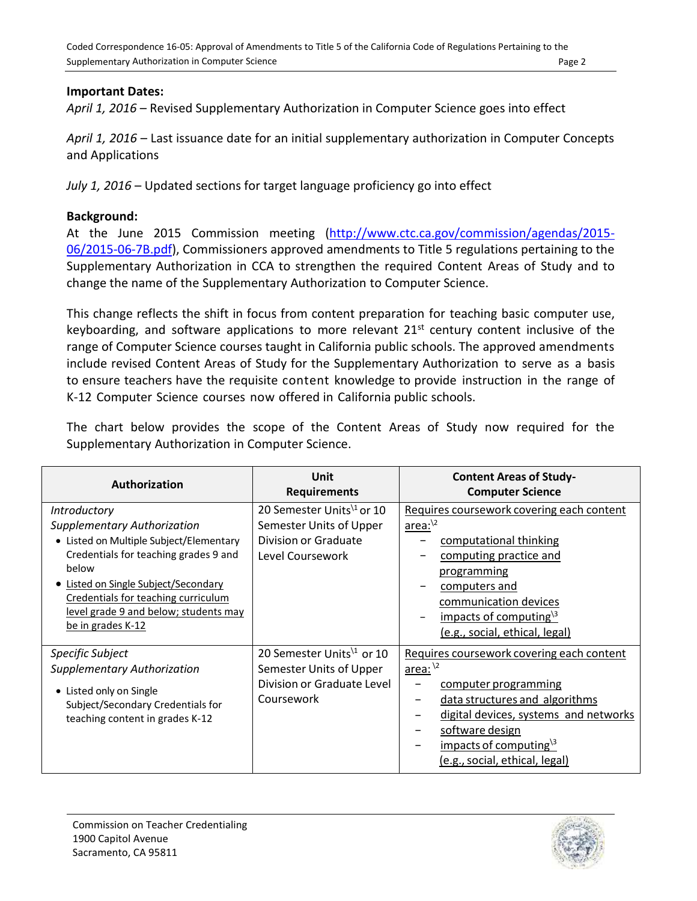## **Important Dates:**

*April 1, 2016* – Revised Supplementary Authorization in Computer Science goes into effect

*April 1, 2016* – Last issuance date for an initial supplementary authorization in Computer Concepts and Applications

*July 1, 2016* – Updated sections for target language proficiency go into effect

#### **Background:**

At the June 2015 Commission meeting [\(http://www.ctc.ca.gov/commission/agendas/2015-](http://www.ctc.ca.gov/commission/agendas/2015-06/2015-06-7B.pdf) [06/2015-06-7B.pdf\)](http://www.ctc.ca.gov/commission/agendas/2015-06/2015-06-7B.pdf), Commissioners approved amendments to Title 5 regulations pertaining to the Supplementary Authorization in CCA to strengthen the required Content Areas of Study and to change the name of the Supplementary Authorization to Computer Science.

This change reflects the shift in focus from content preparation for teaching basic computer use, keyboarding, and software applications to more relevant  $21<sup>st</sup>$  century content inclusive of the range of Computer Science courses taught in California public schools. The approved amendments include revised Content Areas of Study for the Supplementary Authorization to serve as a basis to ensure teachers have the requisite content knowledge to provide instruction in the range of K‐12 Computer Science courses now offered in California public schools.

The chart below provides the scope of the Content Areas of Study now required for the Supplementary Authorization in Computer Science.

| Authorization                                                                                                                                                                                                                                                                              | Unit<br><b>Requirements</b>                                                                                 | <b>Content Areas of Study-</b><br><b>Computer Science</b>                                                                                                                                                                                                  |
|--------------------------------------------------------------------------------------------------------------------------------------------------------------------------------------------------------------------------------------------------------------------------------------------|-------------------------------------------------------------------------------------------------------------|------------------------------------------------------------------------------------------------------------------------------------------------------------------------------------------------------------------------------------------------------------|
| Introductory<br><b>Supplementary Authorization</b><br>• Listed on Multiple Subject/Elementary<br>Credentials for teaching grades 9 and<br>below<br>Listed on Single Subject/Secondary<br>Credentials for teaching curriculum<br>level grade 9 and below; students may<br>be in grades K-12 | 20 Semester Units <sup>1</sup> or 10<br>Semester Units of Upper<br>Division or Graduate<br>Level Coursework | Requires coursework covering each content<br>$area:^{2}$<br>computational thinking<br>computing practice and<br><i>programming</i><br>computers and<br>communication devices<br>impacts of computing $\lambda$ 3<br>(e.g., social, ethical, legal)         |
| Specific Subject<br><b>Supplementary Authorization</b><br>• Listed only on Single<br>Subject/Secondary Credentials for<br>teaching content in grades K-12                                                                                                                                  | 20 Semester Units <sup>1</sup> or 10<br>Semester Units of Upper<br>Division or Graduate Level<br>Coursework | Requires coursework covering each content<br>area: $\frac{1}{2}$<br>computer programming<br>data structures and algorithms<br>digital devices, systems and networks<br>software design<br>impacts of computing $\lambda$<br>(e.g., social, ethical, legal) |

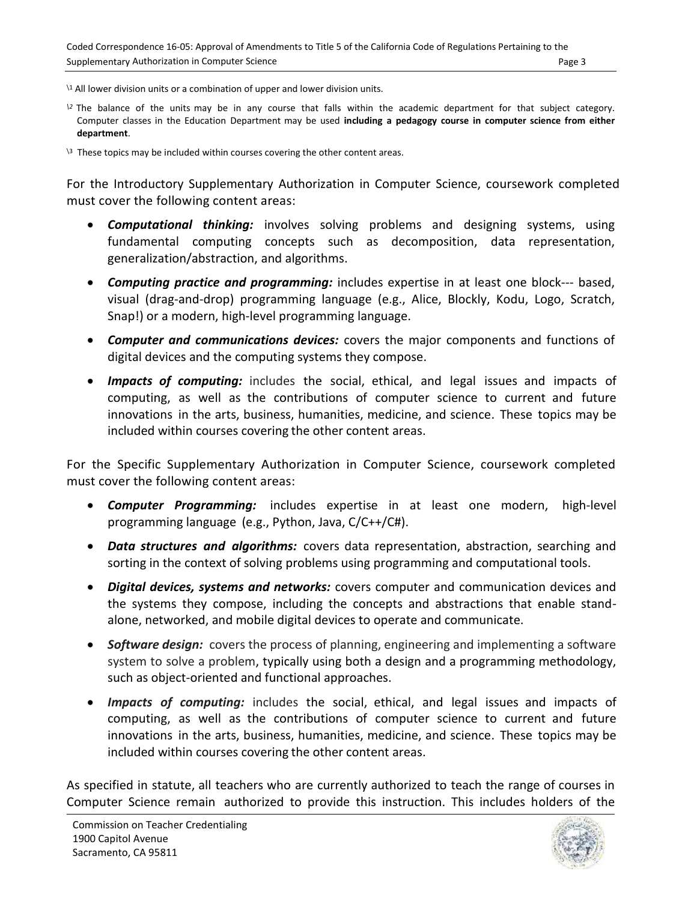- <span id="page-2-0"></span><sup>2</sup> The balance of the units may be in any course that falls within the academic department for that subject category. Computer classes in the Education Department may be used **including a pedagogy course in computer science from either department**.
- $\sqrt{3}$  These topics may be included within courses covering the other content areas.

For the Introductory Supplementary Authorization in Computer Science, coursework completed must cover the following content areas:

- *Computational thinking:* involves solving problems and designing systems, using fundamental computing concepts such as decomposition, data representation, generalization/abstraction, and algorithms.
- *Computing practice and programming:* includes expertise in at least one block--‐ based, visual (drag‐and‐drop) programming language (e.g., Alice, Blockly, Kodu, Logo, Scratch, Snap!) or a modern, high‐level programming language.
- *Computer and communications devices:* covers the major components and functions of digital devices and the computing systems they compose.
- *Impacts of computing:* includes the social, ethical, and legal issues and impacts of computing, as well as the contributions of computer science to current and future innovations in the arts, business, humanities, medicine, and science. These topics may be included within courses covering the other content areas.

For the Specific Supplementary Authorization in Computer Science, coursework completed must cover the following content areas:

- *Computer Programming:* includes expertise in at least one modern, high-level programming language (e.g., Python, Java, C/C++/C#).
- *Data structures and algorithms:* covers data representation, abstraction, searching and sorting in the context of solving problems using programming and computational tools.
- *Digital devices, systems and networks:* covers computer and communication devices and the systems they compose, including the concepts and abstractions that enable standalone, networked, and mobile digital devices to operate and communicate.
- *Software design:* covers the process of planning, engineering and implementing a software system to solve a problem, typically using both a design and a programming methodology, such as object-oriented and functional approaches.
- *Impacts of computing:* includes the social, ethical, and legal issues and impacts of computing, as well as the contributions of computer science to current and future innovations in the arts, business, humanities, medicine, and science. These topics may be included within courses covering the other content areas.

As specified in statute, all teachers who are currently authorized to teach the range of courses in Computer Science remain authorized to provide this instruction. This includes holders of the

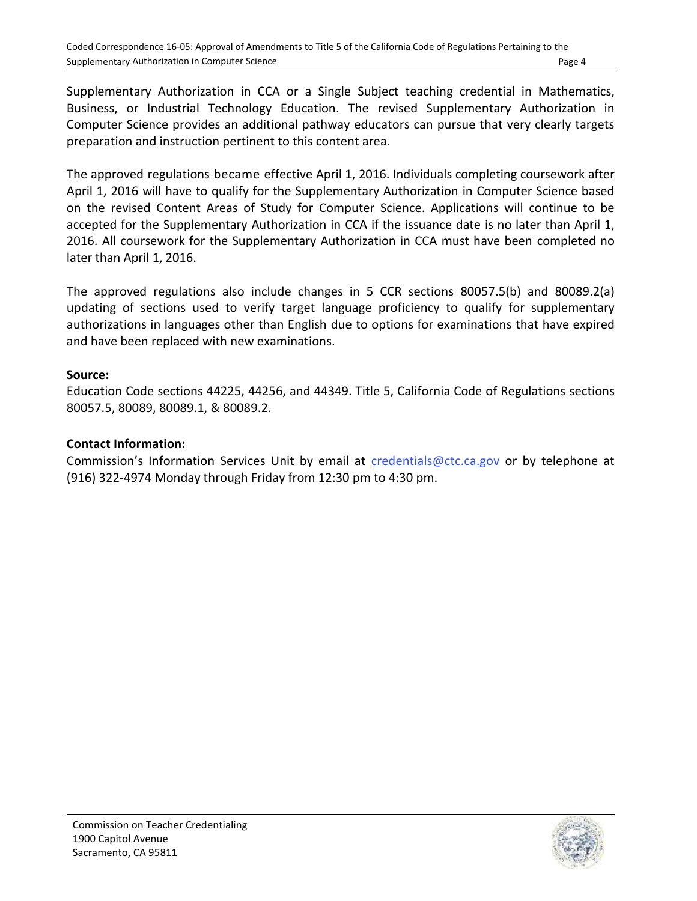Supplementary Authorization in CCA or a Single Subject teaching credential in Mathematics, Business, or Industrial Technology Education. The revised Supplementary Authorization in Computer Science provides an additional pathway educators can pursue that very clearly targets preparation and instruction pertinent to this content area.

The approved regulations became effective April 1, 2016. Individuals completing coursework after April 1, 2016 will have to qualify for the Supplementary Authorization in Computer Science based on the revised Content Areas of Study for Computer Science. Applications will continue to be accepted for the Supplementary Authorization in CCA if the issuance date is no later than April 1, 2016. All coursework for the Supplementary Authorization in CCA must have been completed no later than April 1, 2016.

The approved regulations also include changes in 5 CCR sections 80057.5(b) and 80089.2(a) updating of sections used to verify target language proficiency to qualify for supplementary authorizations in languages other than English due to options for examinations that have expired and have been replaced with new examinations.

## **Source:**

Education Code sections 44225, 44256, and 44349. Title 5, California Code of Regulations sections 80057.5, 80089, 80089.1, & 80089.2.

# **Contact Information:**

Commission's Information Services Unit by email at [credentials@ctc.ca.gov](mailto:credentials@ctc.ca.gov) or by telephone at (916) 322-4974 Monday through Friday from 12:30 pm to 4:30 pm.

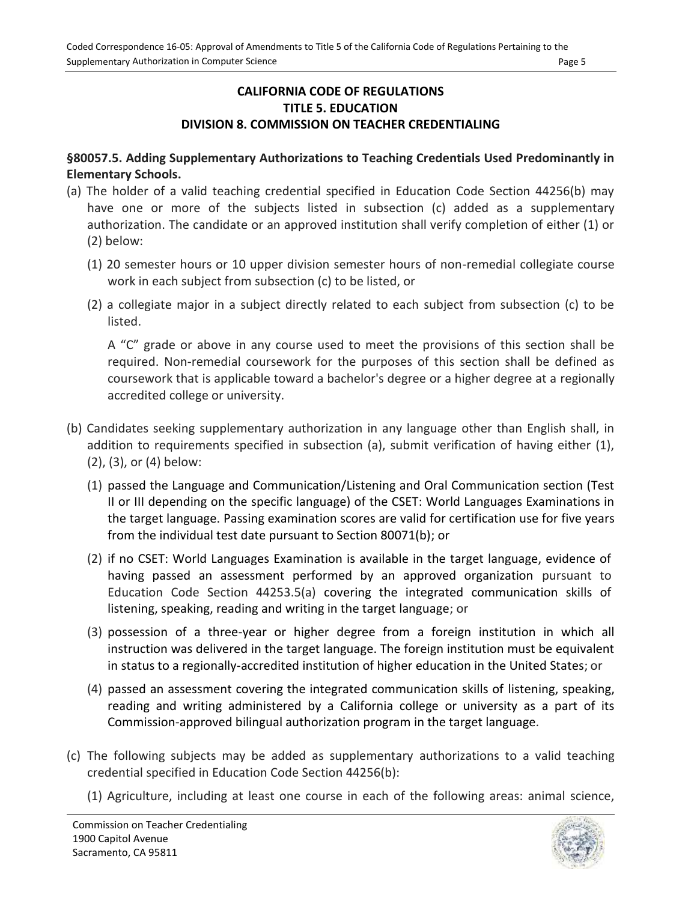## **CALIFORNIA CODE OF REGULATIONS TITLE 5. EDUCATION DIVISION 8. COMMISSION ON TEACHER CREDENTIALING**

## **§80057.5. Adding Supplementary Authorizations to Teaching Credentials Used Predominantly in Elementary Schools.**

- (a) The holder of a valid teaching credential specified in Education Code Section 44256(b) may have one or more of the subjects listed in subsection (c) added as a supplementary authorization. The candidate or an approved institution shall verify completion of either (1) or (2) below:
	- (1) 20 semester hours or 10 upper division semester hours of non-remedial collegiate course work in each subject from subsection (c) to be listed, or
	- (2) a collegiate major in a subject directly related to each subject from subsection (c) to be listed.

A "C" grade or above in any course used to meet the provisions of this section shall be required. Non-remedial coursework for the purposes of this section shall be defined as coursework that is applicable toward a bachelor's degree or a higher degree at a regionally accredited college or university.

- (b) Candidates seeking supplementary authorization in any language other than English shall, in addition to requirements specified in subsection (a), submit verification of having either (1), (2), (3), or (4) below:
	- (1) passed the Language and Communication/Listening and Oral Communication section (Test II or III depending on the specific language) of the CSET: World Languages Examinations in the target language. Passing examination scores are valid for certification use for five years from the individual test date pursuant to Section 80071(b); or
	- (2) if no CSET: World Languages Examination is available in the target language, evidence of having passed an assessment performed by an approved organization pursuant to Education Code Section 44253.5(a) covering the integrated communication skills of listening, speaking, reading and writing in the target language; or
	- (3) possession of a three-year or higher degree from a foreign institution in which all instruction was delivered in the target language. The foreign institution must be equivalent in status to a regionally-accredited institution of higher education in the United States; or
	- (4) passed an assessment covering the integrated communication skills of listening, speaking, reading and writing administered by a California college or university as a part of its Commission-approved bilingual authorization program in the target language*.*
- (c) The following subjects may be added as supplementary authorizations to a valid teaching credential specified in Education Code Section 44256(b):
	- (1) Agriculture, including at least one course in each of the following areas: animal science,

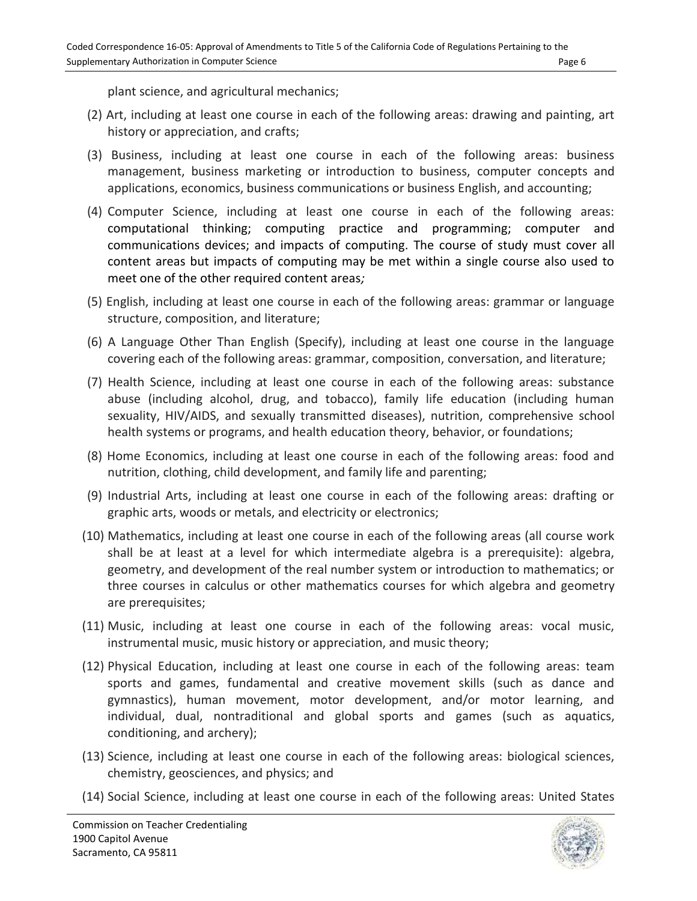plant science, and agricultural mechanics;

- (2) Art, including at least one course in each of the following areas: drawing and painting, art history or appreciation, and crafts;
- (3) Business, including at least one course in each of the following areas: business management, business marketing or introduction to business, computer concepts and applications, economics, business communications or business English, and accounting;
- (4) Computer Science, including at least one course in each of the following areas: computational thinking; computing practice and programming; computer and communications devices; and impacts of computing. The course of study must cover all content areas but impacts of computing may be met within a single course also used to meet one of the other required content areas*;*
- (5) English, including at least one course in each of the following areas: grammar or language structure, composition, and literature;
- (6) A Language Other Than English (Specify), including at least one course in the language covering each of the following areas: grammar, composition, conversation, and literature;
- (7) Health Science, including at least one course in each of the following areas: substance abuse (including alcohol, drug, and tobacco), family life education (including human sexuality, HIV/AIDS, and sexually transmitted diseases), nutrition, comprehensive school health systems or programs, and health education theory, behavior, or foundations;
- (8) Home Economics, including at least one course in each of the following areas: food and nutrition, clothing, child development, and family life and parenting;
- (9) Industrial Arts, including at least one course in each of the following areas: drafting or graphic arts, woods or metals, and electricity or electronics;
- (10) Mathematics, including at least one course in each of the following areas (all course work shall be at least at a level for which intermediate algebra is a prerequisite): algebra, geometry, and development of the real number system or introduction to mathematics; or three courses in calculus or other mathematics courses for which algebra and geometry are prerequisites;
- (11) Music, including at least one course in each of the following areas: vocal music, instrumental music, music history or appreciation, and music theory;
- (12) Physical Education, including at least one course in each of the following areas: team sports and games, fundamental and creative movement skills (such as dance and gymnastics), human movement, motor development, and/or motor learning, and individual, dual, nontraditional and global sports and games (such as aquatics, conditioning, and archery);
- (13) Science, including at least one course in each of the following areas: biological sciences, chemistry, geosciences, and physics; and
- (14) Social Science, including at least one course in each of the following areas: United States

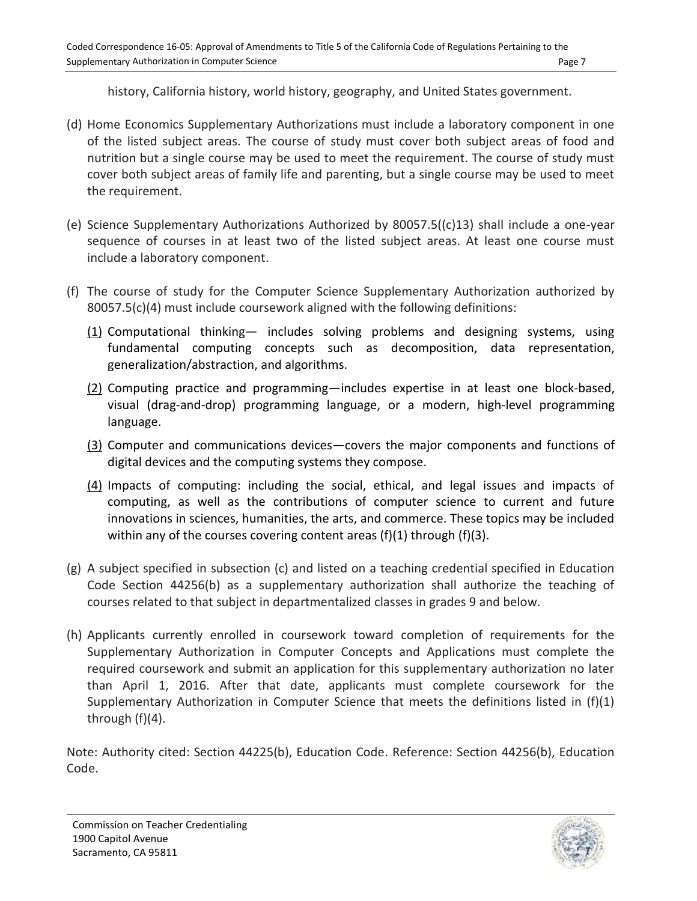history, California history, world history, geography, and United States government.

- (d) Home Economics Supplementary Authorizations must include a laboratory component in one of the listed subject areas. The course of study must cover both subject areas of food and nutrition but a single course may be used to meet the requirement. The course of study must cover both subject areas of family life and parenting, but a single course may be used to meet the requirement.
- (e) Science Supplementary Authorizations Authorized by 80057.5((c)13) shall include a one-year sequence of courses in at least two of the listed subject areas. At least one course must include a laboratory component.
- (f) The course of study for the Computer Science Supplementary Authorization authorized by 80057.5(c)(4) must include coursework aligned with the following definitions:
	- (1) Computational thinking— includes solving problems and designing systems, using fundamental computing concepts such as decomposition, data representation, generalization/abstraction, and algorithms.
	- (2) Computing practice and programming—includes expertise in at least one block-based, visual (drag-and-drop) programming language, or a modern, high-level programming language.
	- (3) Computer and communications devices—covers the major components and functions of digital devices and the computing systems they compose.
	- (4) Impacts of computing: including the social, ethical, and legal issues and impacts of computing, as well as the contributions of computer science to current and future innovations in sciences, humanities, the arts, and commerce. These topics may be included within any of the courses covering content areas  $(f)(1)$  through  $(f)(3)$ .
- (g) A subject specified in subsection (c) and listed on a teaching credential specified in Education Code Section 44256(b) as a supplementary authorization shall authorize the teaching of courses related to that subject in departmentalized classes in grades 9 and below.
- (h) Applicants currently enrolled in coursework toward completion of requirements for the Supplementary Authorization in Computer Concepts and Applications must complete the required coursework and submit an application for this supplementary authorization no later than April 1, 2016. After that date, applicants must complete coursework for the Supplementary Authorization in Computer Science that meets the definitions listed in  $(f)(1)$ through (f)(4).

Note: Authority cited: Section 44225(b), Education Code. Reference: Section 44256(b), Education Code.

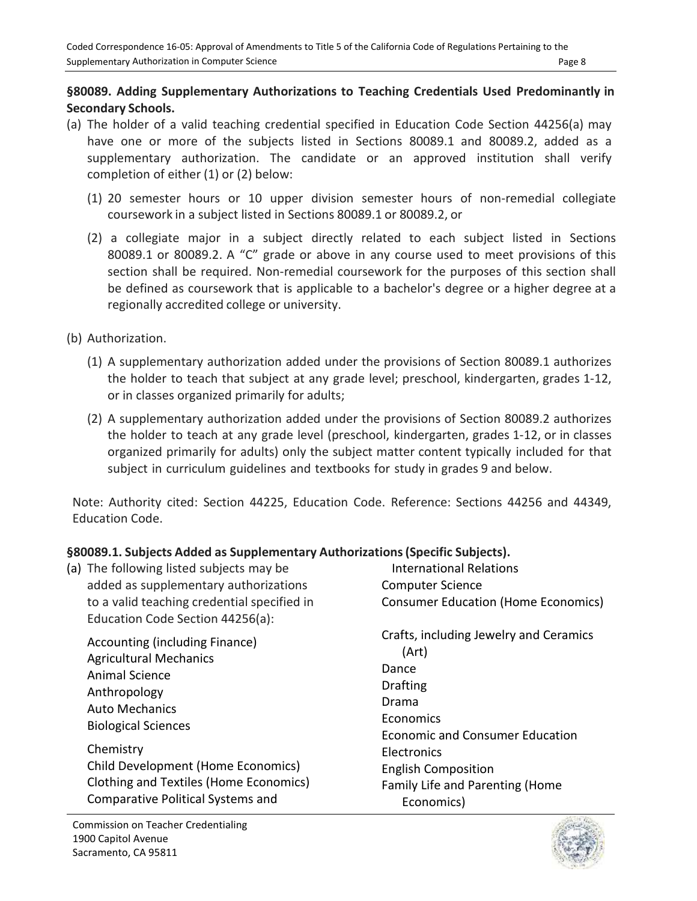# **§80089. Adding Supplementary Authorizations to Teaching Credentials Used Predominantly in Secondary Schools.**

- (a) The holder of a valid teaching credential specified in Education Code Section 44256(a) may have one or more of the subjects listed in Sections 80089.1 and 80089.2, added as a supplementary authorization. The candidate or an approved institution shall verify completion of either (1) or (2) below:
	- (1) 20 semester hours or 10 upper division semester hours of non‐remedial collegiate coursework in a subject listed in Sections 80089.1 or 80089.2, or
	- (2) a collegiate major in a subject directly related to each subject listed in Sections 80089.1 or 80089.2. A "C" grade or above in any course used to meet provisions of this section shall be required. Non-remedial coursework for the purposes of this section shall be defined as coursework that is applicable to a bachelor's degree or a higher degree at a regionally accredited college or university.
- (b) Authorization.
	- (1) A supplementary authorization added under the provisions of Section 80089.1 authorizes the holder to teach that subject at any grade level; preschool, kindergarten, grades 1‐12, or in classes organized primarily for adults;
	- (2) A supplementary authorization added under the provisions of Section 80089.2 authorizes the holder to teach at any grade level (preschool, kindergarten, grades 1‐12, or in classes organized primarily for adults) only the subject matter content typically included for that subject in curriculum guidelines and textbooks for study in grades 9 and below.

Note: Authority cited: Section 44225, Education Code. Reference: Sections 44256 and 44349, Education Code.

# **§80089.1. Subjects Added as Supplementary Authorizations (Specific Subjects).**

| (a) The following listed subjects may be<br>added as supplementary authorizations<br>to a valid teaching credential specified in<br>Education Code Section 44256(a):                                                                                                                                     | International Relations<br><b>Computer Science</b><br><b>Consumer Education (Home Economics)</b>                                                                                                                                          |
|----------------------------------------------------------------------------------------------------------------------------------------------------------------------------------------------------------------------------------------------------------------------------------------------------------|-------------------------------------------------------------------------------------------------------------------------------------------------------------------------------------------------------------------------------------------|
| Accounting (including Finance)<br><b>Agricultural Mechanics</b><br><b>Animal Science</b><br>Anthropology<br><b>Auto Mechanics</b><br><b>Biological Sciences</b><br>Chemistry<br>Child Development (Home Economics)<br>Clothing and Textiles (Home Economics)<br><b>Comparative Political Systems and</b> | Crafts, including Jewelry and Ceramics<br>(Art)<br>Dance<br><b>Drafting</b><br>Drama<br>Economics<br><b>Economic and Consumer Education</b><br>Electronics<br><b>English Composition</b><br>Family Life and Parenting (Home<br>Economics) |



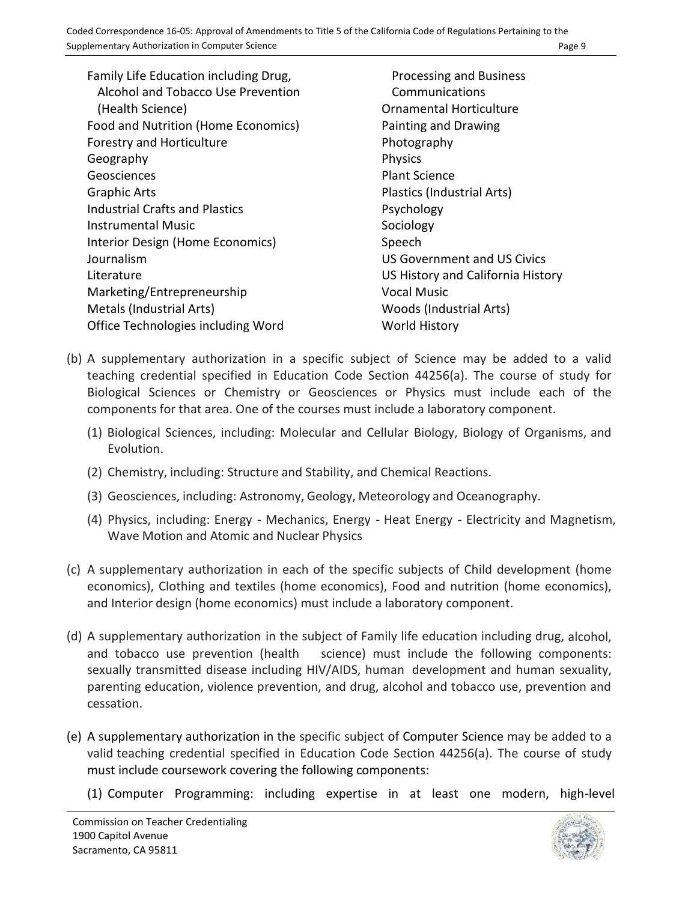Family Life Education including Drug, Alcohol and Tobacco Use Prevention (Health Science) Food and Nutrition (Home Economics) Forestry and Horticulture Geography Geosciences Graphic Arts Industrial Crafts and Plastics Instrumental Music Interior Design (Home Economics) Journalism Literature Marketing/Entrepreneurship Metals (Industrial Arts) Office Technologies including Word

Processing and Business Communications Ornamental Horticulture Painting and Drawing Photography Physics Plant Science Plastics (Industrial Arts) Psychology Sociology Speech US Government and US Civics US History and California History Vocal Music Woods (Industrial Arts) World History

- (b) A supplementary authorization in a specific subject of Science may be added to a valid teaching credential specified in Education Code Section 44256(a). The course of study for Biological Sciences or Chemistry or Geosciences or Physics must include each of the components for that area. One of the courses must include a laboratory component.
	- (1) Biological Sciences, including: Molecular and Cellular Biology, Biology of Organisms, and Evolution.
	- (2) Chemistry, including: Structure and Stability, and Chemical Reactions.
	- (3) Geosciences, including: Astronomy, Geology, Meteorology and Oceanography.
	- (4) Physics, including: Energy ‐ Mechanics, Energy ‐ Heat Energy ‐ Electricity and Magnetism, Wave Motion and Atomic and Nuclear Physics
- (c) A supplementary authorization in each of the specific subjects of Child development (home economics), Clothing and textiles (home economics), Food and nutrition (home economics), and Interior design (home economics) must include a laboratory component.
- (d) A supplementary authorization in the subject of Family life education including drug, alcohol, and tobacco use prevention (health science) must include the following components: sexually transmitted disease including HIV/AIDS, human development and human sexuality, parenting education, violence prevention, and drug, alcohol and tobacco use, prevention and cessation.
- (e) A supplementary authorization in the specific subject of Computer Science may be added to a valid teaching credential specified in Education Code Section 44256(a). The course of study must include coursework covering the following components:
	- (1) Computer Programming: including expertise in at least one modern, high-level

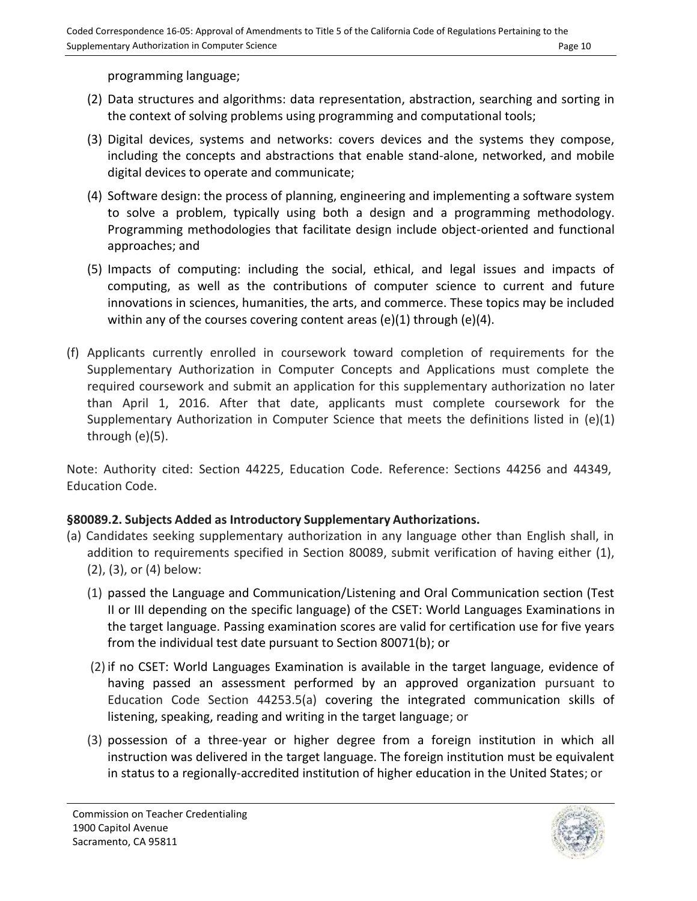programming language;

- (2) Data structures and algorithms: data representation, abstraction, searching and sorting in the context of solving problems using programming and computational tools;
- (3) Digital devices, systems and networks: covers devices and the systems they compose, including the concepts and abstractions that enable stand-alone, networked, and mobile digital devices to operate and communicate;
- (4) Software design: the process of planning, engineering and implementing a software system to solve a problem, typically using both a design and a programming methodology. Programming methodologies that facilitate design include object-oriented and functional approaches; and
- (5) Impacts of computing: including the social, ethical, and legal issues and impacts of computing, as well as the contributions of computer science to current and future innovations in sciences, humanities, the arts, and commerce. These topics may be included within any of the courses covering content areas  $(e)(1)$  through  $(e)(4)$ .
- (f) Applicants currently enrolled in coursework toward completion of requirements for the Supplementary Authorization in Computer Concepts and Applications must complete the required coursework and submit an application for this supplementary authorization no later than April 1, 2016. After that date, applicants must complete coursework for the Supplementary Authorization in Computer Science that meets the definitions listed in (e)(1) through (e)(5).

Note: Authority cited: Section 44225, Education Code. Reference: Sections 44256 and 44349, Education Code.

# **§80089.2. Subjects Added as Introductory Supplementary Authorizations.**

- (a) Candidates seeking supplementary authorization in any language other than English shall, in addition to requirements specified in Section 80089, submit verification of having either (1), (2), (3), or (4) below:
	- (1) passed the Language and Communication/Listening and Oral Communication section (Test II or III depending on the specific language) of the CSET: World Languages Examinations in the target language. Passing examination scores are valid for certification use for five years from the individual test date pursuant to Section 80071(b); or
	- (2) if no CSET: World Languages Examination is available in the target language, evidence of having passed an assessment performed by an approved organization pursuant to Education Code Section 44253.5(a) covering the integrated communication skills of listening, speaking, reading and writing in the target language; or
	- (3) possession of a three-year or higher degree from a foreign institution in which all instruction was delivered in the target language. The foreign institution must be equivalent in status to a regionally-accredited institution of higher education in the United States; or

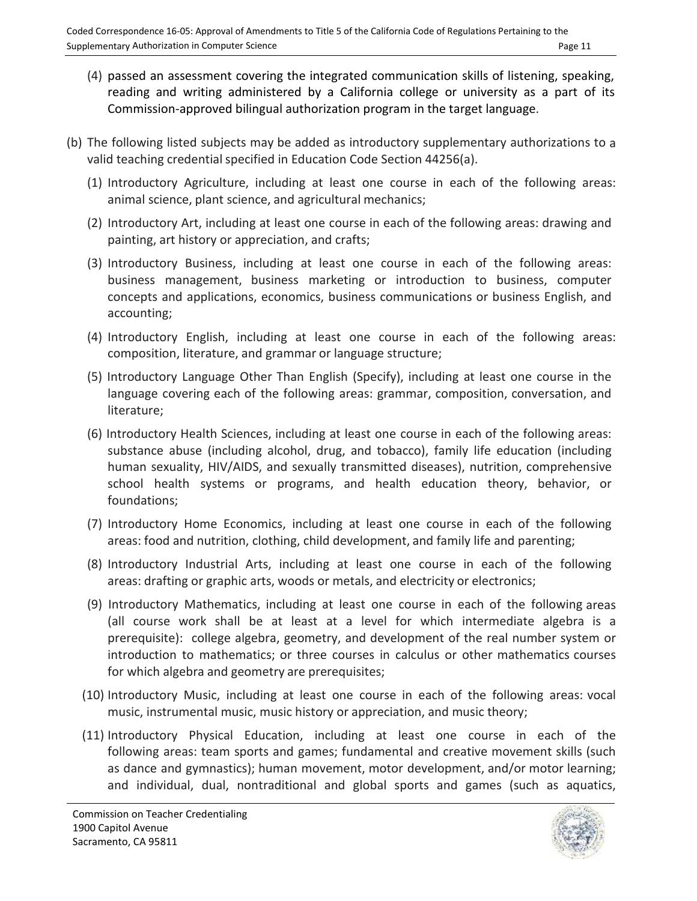- (4) passed an assessment covering the integrated communication skills of listening, speaking, reading and writing administered by a California college or university as a part of its Commission-approved bilingual authorization program in the target language*.*
- (b) The following listed subjects may be added as introductory supplementary authorizations to a valid teaching credential specified in Education Code Section 44256(a).
	- (1) Introductory Agriculture, including at least one course in each of the following areas: animal science, plant science, and agricultural mechanics;
	- (2) Introductory Art, including at least one course in each of the following areas: drawing and painting, art history or appreciation, and crafts;
	- (3) Introductory Business, including at least one course in each of the following areas: business management, business marketing or introduction to business, computer concepts and applications, economics, business communications or business English, and accounting;
	- (4) Introductory English, including at least one course in each of the following areas: composition, literature, and grammar or language structure;
	- (5) Introductory Language Other Than English (Specify), including at least one course in the language covering each of the following areas: grammar, composition, conversation, and literature;
	- (6) Introductory Health Sciences, including at least one course in each of the following areas: substance abuse (including alcohol, drug, and tobacco), family life education (including human sexuality, HIV/AIDS, and sexually transmitted diseases), nutrition, comprehensive school health systems or programs, and health education theory, behavior, or foundations;
	- (7) Introductory Home Economics, including at least one course in each of the following areas: food and nutrition, clothing, child development, and family life and parenting;
	- (8) Introductory Industrial Arts, including at least one course in each of the following areas: drafting or graphic arts, woods or metals, and electricity or electronics;
	- (9) Introductory Mathematics, including at least one course in each of the following areas (all course work shall be at least at a level for which intermediate algebra is a prerequisite): college algebra, geometry, and development of the real number system or introduction to mathematics; or three courses in calculus or other mathematics courses for which algebra and geometry are prerequisites;
	- (10) Introductory Music, including at least one course in each of the following areas: vocal music, instrumental music, music history or appreciation, and music theory;
	- (11) Introductory Physical Education, including at least one course in each of the following areas: team sports and games; fundamental and creative movement skills (such as dance and gymnastics); human movement, motor development, and/or motor learning; and individual, dual, nontraditional and global sports and games (such as aquatics,

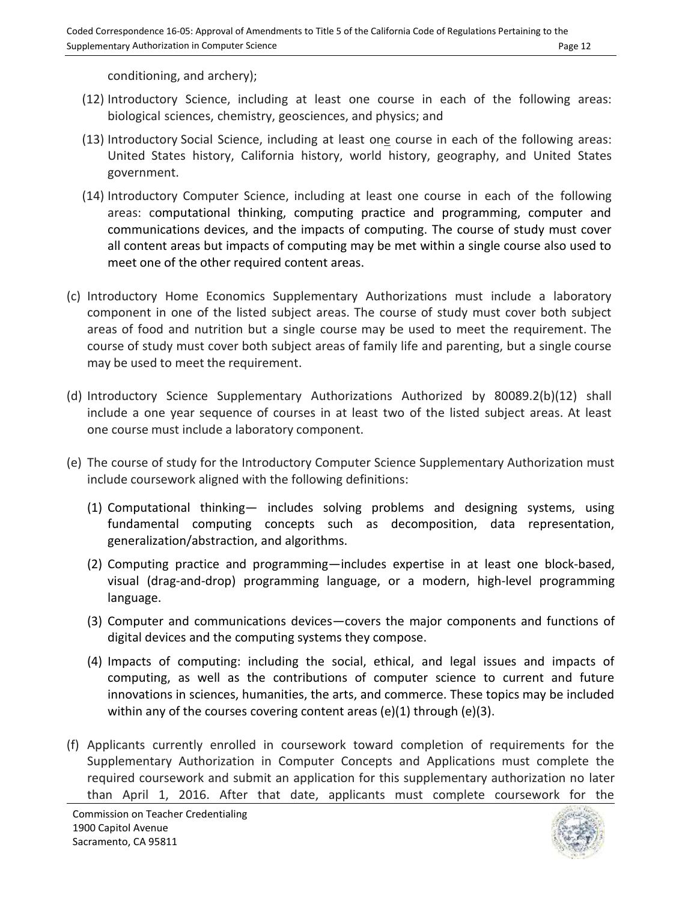conditioning, and archery);

- (12) Introductory Science, including at least one course in each of the following areas: biological sciences, chemistry, geosciences, and physics; and
- (13) Introductory Social Science, including at least one course in each of the following areas: United States history, California history, world history, geography, and United States government.
- (14) Introductory Computer Science, including at least one course in each of the following areas: computational thinking, computing practice and programming, computer and communications devices, and the impacts of computing. The course of study must cover all content areas but impacts of computing may be met within a single course also used to meet one of the other required content areas.
- (c) Introductory Home Economics Supplementary Authorizations must include a laboratory component in one of the listed subject areas. The course of study must cover both subject areas of food and nutrition but a single course may be used to meet the requirement. The course of study must cover both subject areas of family life and parenting, but a single course may be used to meet the requirement.
- (d) Introductory Science Supplementary Authorizations Authorized by 80089.2(b)(12) shall include a one year sequence of courses in at least two of the listed subject areas. At least one course must include a laboratory component.
- (e) The course of study for the Introductory Computer Science Supplementary Authorization must include coursework aligned with the following definitions:
	- (1) Computational thinking— includes solving problems and designing systems, using fundamental computing concepts such as decomposition, data representation, generalization/abstraction, and algorithms.
	- (2) Computing practice and programming—includes expertise in at least one block-based, visual (drag-and-drop) programming language, or a modern, high-level programming language.
	- (3) Computer and communications devices—covers the major components and functions of digital devices and the computing systems they compose.
	- (4) Impacts of computing: including the social, ethical, and legal issues and impacts of computing, as well as the contributions of computer science to current and future innovations in sciences, humanities, the arts, and commerce. These topics may be included within any of the courses covering content areas  $(e)(1)$  through  $(e)(3)$ .
- (f) Applicants currently enrolled in coursework toward completion of requirements for the Supplementary Authorization in Computer Concepts and Applications must complete the required coursework and submit an application for this supplementary authorization no later than April 1, 2016. After that date, applicants must complete coursework for the